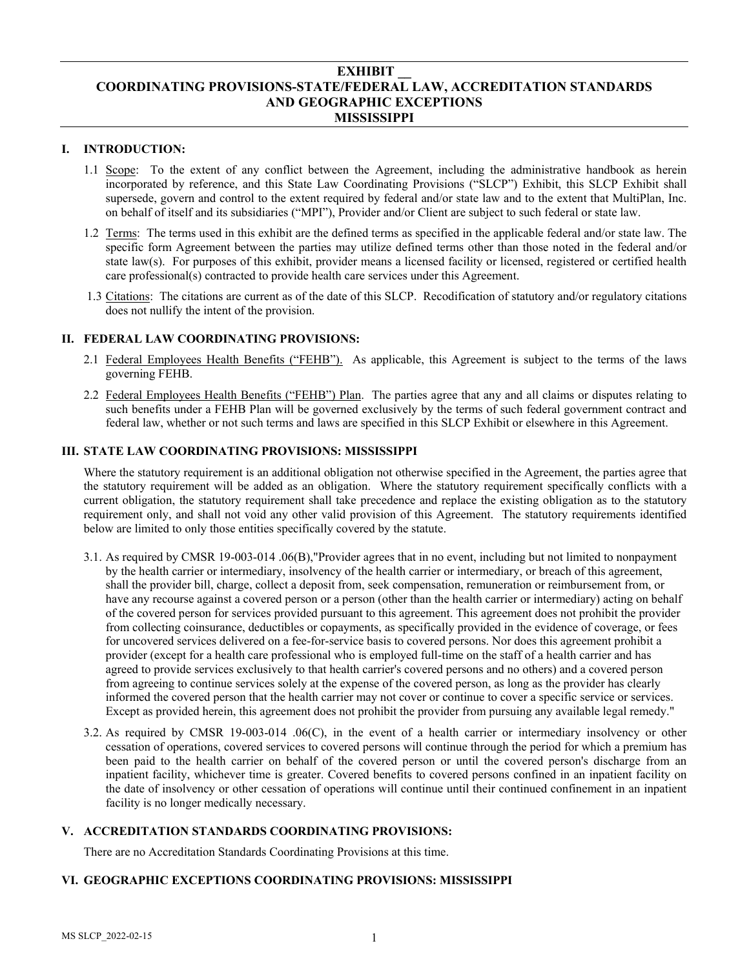## **EXHIBIT \_\_ COORDINATING PROVISIONS-STATE/FEDERAL LAW, ACCREDITATION STANDARDS AND GEOGRAPHIC EXCEPTIONS MISSISSIPPI**

### **I. INTRODUCTION:**

- 1.1 Scope: To the extent of any conflict between the Agreement, including the administrative handbook as herein incorporated by reference, and this State Law Coordinating Provisions ("SLCP") Exhibit, this SLCP Exhibit shall supersede, govern and control to the extent required by federal and/or state law and to the extent that MultiPlan, Inc. on behalf of itself and its subsidiaries ("MPI"), Provider and/or Client are subject to such federal or state law.
- 1.2 Terms: The terms used in this exhibit are the defined terms as specified in the applicable federal and/or state law. The specific form Agreement between the parties may utilize defined terms other than those noted in the federal and/or state law(s). For purposes of this exhibit, provider means a licensed facility or licensed, registered or certified health care professional(s) contracted to provide health care services under this Agreement.
- 1.3 Citations: The citations are current as of the date of this SLCP. Recodification of statutory and/or regulatory citations does not nullify the intent of the provision.

# **II. FEDERAL LAW COORDINATING PROVISIONS:**

- 2.1 Federal Employees Health Benefits ("FEHB"). As applicable, this Agreement is subject to the terms of the laws governing FEHB.
- 2.2 Federal Employees Health Benefits ("FEHB") Plan. The parties agree that any and all claims or disputes relating to such benefits under a FEHB Plan will be governed exclusively by the terms of such federal government contract and federal law, whether or not such terms and laws are specified in this SLCP Exhibit or elsewhere in this Agreement.

### **III. STATE LAW COORDINATING PROVISIONS: MISSISSIPPI**

Where the statutory requirement is an additional obligation not otherwise specified in the Agreement, the parties agree that the statutory requirement will be added as an obligation. Where the statutory requirement specifically conflicts with a current obligation, the statutory requirement shall take precedence and replace the existing obligation as to the statutory requirement only, and shall not void any other valid provision of this Agreement. The statutory requirements identified below are limited to only those entities specifically covered by the statute.

- 3.1. As required by CMSR 19-003-014 .06(B),"Provider agrees that in no event, including but not limited to nonpayment by the health carrier or intermediary, insolvency of the health carrier or intermediary, or breach of this agreement, shall the provider bill, charge, collect a deposit from, seek compensation, remuneration or reimbursement from, or have any recourse against a covered person or a person (other than the health carrier or intermediary) acting on behalf of the covered person for services provided pursuant to this agreement. This agreement does not prohibit the provider from collecting coinsurance, deductibles or copayments, as specifically provided in the evidence of coverage, or fees for uncovered services delivered on a fee-for-service basis to covered persons. Nor does this agreement prohibit a provider (except for a health care professional who is employed full-time on the staff of a health carrier and has agreed to provide services exclusively to that health carrier's covered persons and no others) and a covered person from agreeing to continue services solely at the expense of the covered person, as long as the provider has clearly informed the covered person that the health carrier may not cover or continue to cover a specific service or services. Except as provided herein, this agreement does not prohibit the provider from pursuing any available legal remedy."
- 3.2. As required by CMSR 19-003-014 .06(C), in the event of a health carrier or intermediary insolvency or other cessation of operations, covered services to covered persons will continue through the period for which a premium has been paid to the health carrier on behalf of the covered person or until the covered person's discharge from an inpatient facility, whichever time is greater. Covered benefits to covered persons confined in an inpatient facility on the date of insolvency or other cessation of operations will continue until their continued confinement in an inpatient facility is no longer medically necessary.

### **V. ACCREDITATION STANDARDS COORDINATING PROVISIONS:**

There are no Accreditation Standards Coordinating Provisions at this time.

### **VI. GEOGRAPHIC EXCEPTIONS COORDINATING PROVISIONS: MISSISSIPPI**